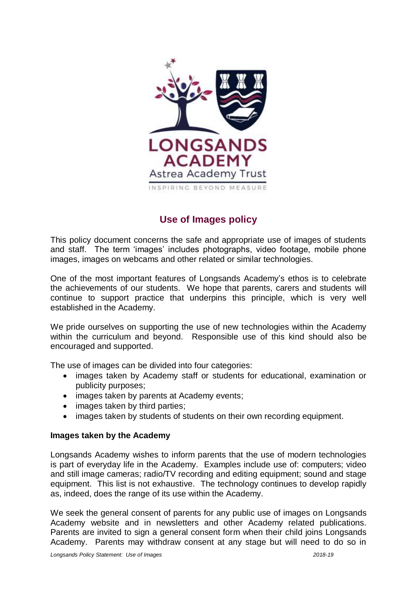

# **Use of Images policy**

This policy document concerns the safe and appropriate use of images of students and staff. The term 'images' includes photographs, video footage, mobile phone images, images on webcams and other related or similar technologies.

One of the most important features of Longsands Academy's ethos is to celebrate the achievements of our students. We hope that parents, carers and students will continue to support practice that underpins this principle, which is very well established in the Academy.

We pride ourselves on supporting the use of new technologies within the Academy within the curriculum and beyond. Responsible use of this kind should also be encouraged and supported.

The use of images can be divided into four categories:

- images taken by Academy staff or students for educational, examination or publicity purposes;
- images taken by parents at Academy events;
- images taken by third parties;
- images taken by students of students on their own recording equipment.

# **Images taken by the Academy**

Longsands Academy wishes to inform parents that the use of modern technologies is part of everyday life in the Academy. Examples include use of: computers; video and still image cameras; radio/TV recording and editing equipment; sound and stage equipment. This list is not exhaustive. The technology continues to develop rapidly as, indeed, does the range of its use within the Academy.

We seek the general consent of parents for any public use of images on Longsands Academy website and in newsletters and other Academy related publications. Parents are invited to sign a general consent form when their child joins Longsands Academy. Parents may withdraw consent at any stage but will need to do so in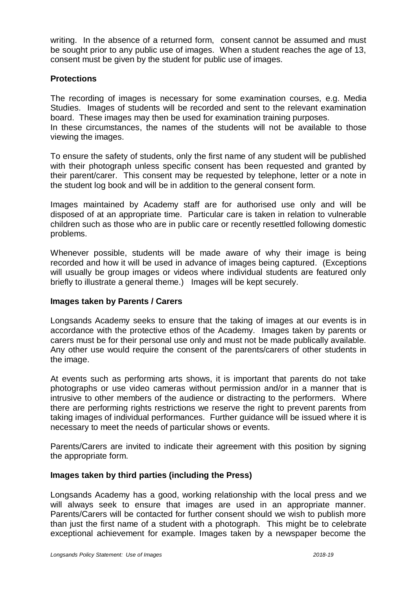writing. In the absence of a returned form, consent cannot be assumed and must be sought prior to any public use of images. When a student reaches the age of 13, consent must be given by the student for public use of images.

# **Protections**

The recording of images is necessary for some examination courses, e.g. Media Studies. Images of students will be recorded and sent to the relevant examination board. These images may then be used for examination training purposes.

In these circumstances, the names of the students will not be available to those viewing the images.

To ensure the safety of students, only the first name of any student will be published with their photograph unless specific consent has been requested and granted by their parent/carer. This consent may be requested by telephone, letter or a note in the student log book and will be in addition to the general consent form.

Images maintained by Academy staff are for authorised use only and will be disposed of at an appropriate time. Particular care is taken in relation to vulnerable children such as those who are in public care or recently resettled following domestic problems.

Whenever possible, students will be made aware of why their image is being recorded and how it will be used in advance of images being captured. (Exceptions will usually be group images or videos where individual students are featured only briefly to illustrate a general theme.) Images will be kept securely.

# **Images taken by Parents / Carers**

Longsands Academy seeks to ensure that the taking of images at our events is in accordance with the protective ethos of the Academy. Images taken by parents or carers must be for their personal use only and must not be made publically available. Any other use would require the consent of the parents/carers of other students in the image.

At events such as performing arts shows, it is important that parents do not take photographs or use video cameras without permission and/or in a manner that is intrusive to other members of the audience or distracting to the performers. Where there are performing rights restrictions we reserve the right to prevent parents from taking images of individual performances. Further guidance will be issued where it is necessary to meet the needs of particular shows or events.

Parents/Carers are invited to indicate their agreement with this position by signing the appropriate form.

# **Images taken by third parties (including the Press)**

Longsands Academy has a good, working relationship with the local press and we will always seek to ensure that images are used in an appropriate manner. Parents/Carers will be contacted for further consent should we wish to publish more than just the first name of a student with a photograph. This might be to celebrate exceptional achievement for example. Images taken by a newspaper become the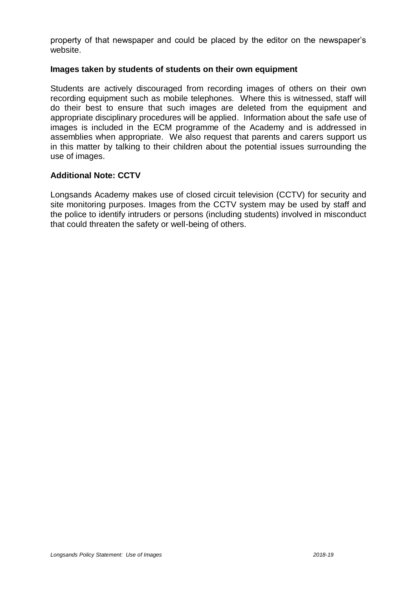property of that newspaper and could be placed by the editor on the newspaper's website.

#### **Images taken by students of students on their own equipment**

Students are actively discouraged from recording images of others on their own recording equipment such as mobile telephones. Where this is witnessed, staff will do their best to ensure that such images are deleted from the equipment and appropriate disciplinary procedures will be applied. Information about the safe use of images is included in the ECM programme of the Academy and is addressed in assemblies when appropriate. We also request that parents and carers support us in this matter by talking to their children about the potential issues surrounding the use of images.

# **Additional Note: CCTV**

Longsands Academy makes use of closed circuit television (CCTV) for security and site monitoring purposes. Images from the CCTV system may be used by staff and the police to identify intruders or persons (including students) involved in misconduct that could threaten the safety or well-being of others.